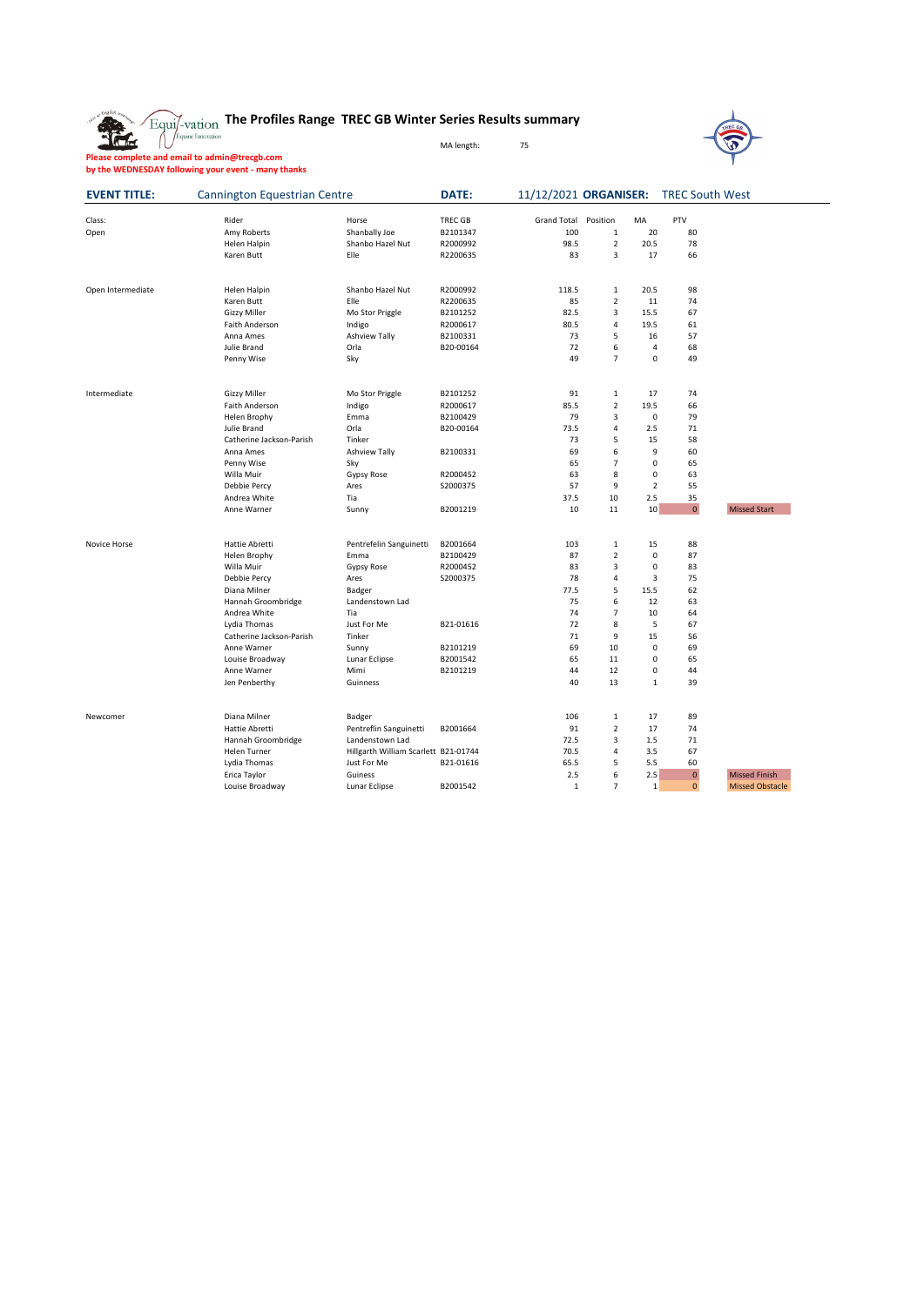|  | $_{\rm variation}$ The Profiles Range TREC GB Winter Series Results summary |
|--|-----------------------------------------------------------------------------|

MA length: 75

**Please complete and email to admin@trecgb.com by the WEDNESDAY following your event - many thanks**

| <b>EVENT TITLE:</b><br>Class:<br>Open | <b>Cannington Equestrian Centre</b> |                                      | DATE:          | 11/12/2021 ORGANISER: |                |                | <b>TREC South West</b> |                        |
|---------------------------------------|-------------------------------------|--------------------------------------|----------------|-----------------------|----------------|----------------|------------------------|------------------------|
|                                       | Rider                               | Horse                                | <b>TREC GB</b> | <b>Grand Total</b>    | Position       | MA             | PTV                    |                        |
|                                       | Amy Roberts                         | Shanbally Joe                        | B2101347       | 100                   | $\mathbf 1$    | 20             | 80                     |                        |
|                                       | Helen Halpin                        | Shanbo Hazel Nut                     | R2000992       | 98.5                  | $\overline{2}$ | 20.5           | 78                     |                        |
|                                       | Karen Butt                          | Elle                                 | R2200635       | 83                    | 3              | 17             | 66                     |                        |
|                                       |                                     |                                      |                |                       |                |                |                        |                        |
| Open Intermediate                     | Helen Halpin                        | Shanbo Hazel Nut                     | R2000992       | 118.5                 | $\mathbf 1$    | 20.5           | 98                     |                        |
|                                       | Karen Butt                          | Elle                                 | R2200635       | 85                    | $\overline{2}$ | 11             | 74                     |                        |
|                                       | <b>Gizzy Miller</b>                 | Mo Stor Priggle                      | B2101252       | 82.5                  | 3              | 15.5           | 67                     |                        |
|                                       | Faith Anderson                      | Indigo                               | R2000617       | 80.5                  | 4              | 19.5           | 61                     |                        |
|                                       | Anna Ames                           | Ashview Tally                        | B2100331       | 73                    | 5              | 16             | 57                     |                        |
|                                       | Julie Brand                         | Orla                                 | B20-00164      | 72                    | 6              | $\overline{4}$ | 68                     |                        |
|                                       | Penny Wise                          | Sky                                  |                | 49                    | $\overline{7}$ | 0              | 49                     |                        |
| Intermediate                          | <b>Gizzy Miller</b>                 | Mo Stor Priggle                      | B2101252       | 91                    | $\mathbf 1$    | 17             | 74                     |                        |
|                                       | Faith Anderson                      | Indigo                               | R2000617       | 85.5                  | $\overline{2}$ | 19.5           | 66                     |                        |
|                                       | Helen Brophy                        | Emma                                 | B2100429       | 79                    | 3              | 0              | 79                     |                        |
|                                       | Julie Brand                         | Orla                                 | B20-00164      | 73.5                  | 4              | 2.5            | 71                     |                        |
|                                       | Catherine Jackson-Parish            | Tinker                               |                | 73                    | 5              | 15             | 58                     |                        |
|                                       | Anna Ames                           | <b>Ashview Tally</b>                 | B2100331       | 69                    | 6              | 9              | 60                     |                        |
|                                       | Penny Wise                          | Sky                                  |                | 65                    | $\overline{7}$ | 0              | 65                     |                        |
|                                       | Willa Muir                          | Gypsy Rose                           | R2000452       | 63                    | 8              | $\mathbf 0$    | 63                     |                        |
|                                       | Debbie Percy                        | Ares                                 | S2000375       | 57                    | 9              | $\overline{2}$ | 55                     |                        |
|                                       | Andrea White                        | Tia                                  |                | 37.5                  | 10             | 2.5            | 35                     |                        |
|                                       | Anne Warner                         | Sunny                                | B2001219       | 10                    | 11             | 10             | $\mathbf{0}$           | <b>Missed Start</b>    |
|                                       |                                     |                                      |                |                       |                |                |                        |                        |
| Novice Horse                          | Hattie Abretti                      | Pentrefelin Sanguinetti              | B2001664       | 103                   | $\mathbf 1$    | 15             | 88                     |                        |
|                                       | Helen Brophy                        | Emma                                 | B2100429       | 87                    | $\mathbf 2$    | 0              | 87                     |                        |
|                                       | Willa Muir                          | Gypsy Rose                           | R2000452       | 83                    | 3              | 0              | 83                     |                        |
|                                       | Debbie Percy                        | Ares                                 | S2000375       | 78                    | $\overline{4}$ | 3              | 75                     |                        |
|                                       | Diana Milner                        | Badger                               |                | 77.5                  | 5              | 15.5           | 62                     |                        |
|                                       | Hannah Groombridge                  | Landenstown Lad                      |                | 75                    | 6              | 12             | 63                     |                        |
|                                       | Andrea White                        | Tia                                  |                | 74                    | $\overline{7}$ | 10             | 64                     |                        |
|                                       | Lydia Thomas                        | Just For Me                          | B21-01616      | 72                    | 8              | 5              | 67                     |                        |
|                                       | Catherine Jackson-Parish            | Tinker                               |                | 71                    | 9              | 15             | 56                     |                        |
|                                       | Anne Warner                         | Sunny                                | B2101219       | 69                    | 10             | 0              | 69                     |                        |
|                                       | Louise Broadway                     | Lunar Eclipse                        | B2001542       | 65                    | 11             | 0              | 65                     |                        |
|                                       | Anne Warner                         | Mimi                                 | B2101219       | 44                    | 12             | 0              | 44                     |                        |
|                                       | Jen Penberthy                       | Guinness                             |                | 40                    | 13             | $1\,$          | 39                     |                        |
| Newcomer                              | Diana Milner                        | Badger                               |                | 106                   | $\mathbf 1$    | 17             | 89                     |                        |
|                                       | Hattie Abretti                      | Pentreflin Sanguinetti               | B2001664       | 91                    | $\overline{2}$ | 17             | 74                     |                        |
|                                       | Hannah Groombridge                  | Landenstown Lad                      |                | 72.5                  | 3              | 1.5            | 71                     |                        |
|                                       |                                     |                                      |                |                       | $\pmb{4}$      |                |                        |                        |
|                                       | Helen Turner                        | Hillgarth William Scarlett B21-01744 |                | 70.5                  |                | 3.5            | 67                     |                        |
|                                       | Lydia Thomas                        | Just For Me<br>Guiness               | B21-01616      | 65.5<br>2.5           | 5<br>6         | 5.5<br>2.5     | 60<br>$\pmb{0}$        | <b>Missed Finish</b>   |
|                                       | Erica Taylor<br>Louise Broadway     | Lunar Eclipse                        | B2001542       | $\mathbf{1}$          | $\overline{7}$ | $\mathbf 1$    | $\mathbf{0}$           | <b>Missed Obstacle</b> |
|                                       |                                     |                                      |                |                       |                |                |                        |                        |

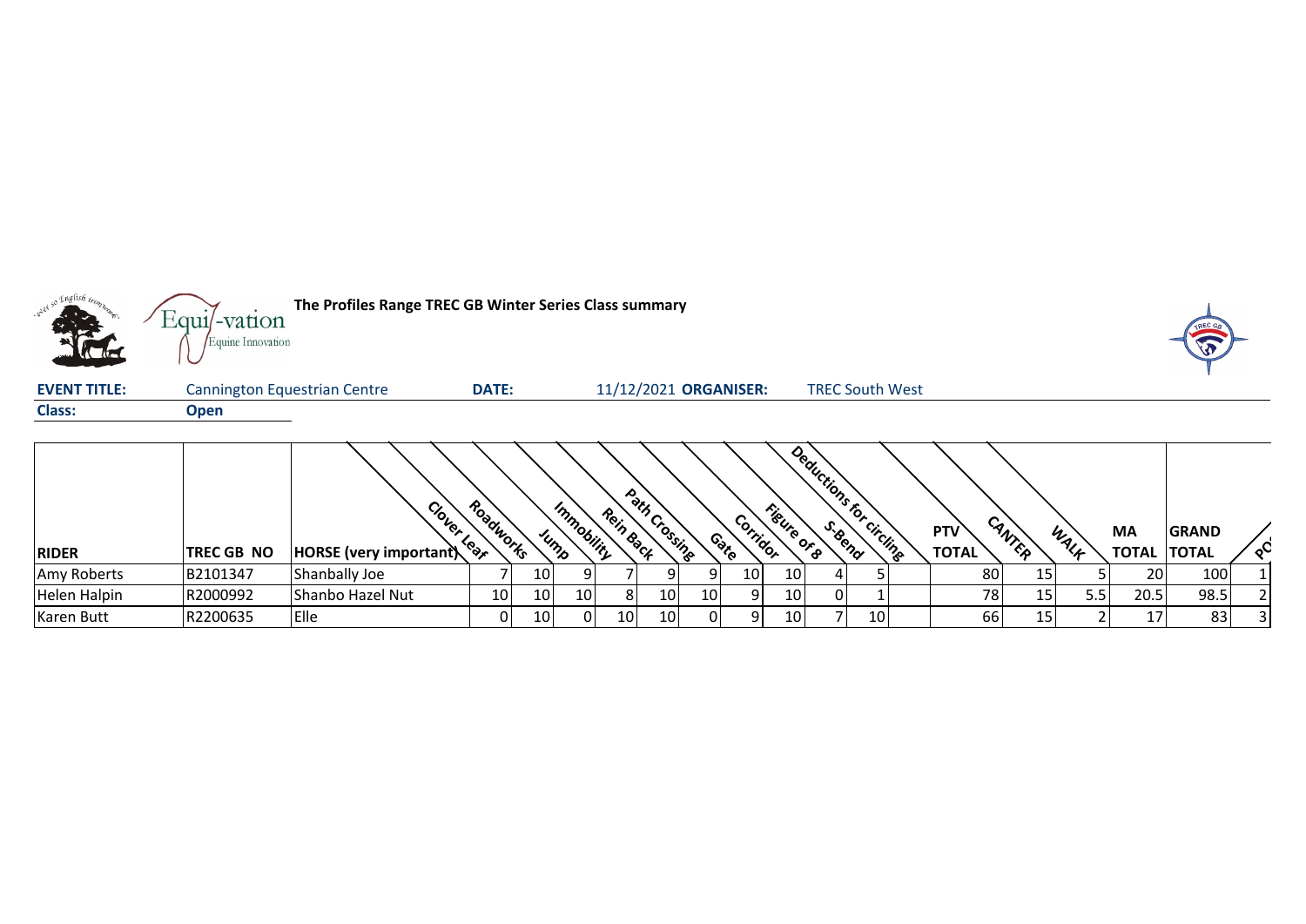

| <b>RIDER</b> | <b>TREC GB NO</b> | Clover<br>HORSE (very important) | Roadworks<br>৾৾৻৻৽৾ |     | Immobility<br>Jump | Rein Back       | Path<br><b>Crossing</b> |           | Corridor<br>Contro | Figure          | Deductions r.<br>S. Bend<br>ັ <sup>ວ</sup> ∕ີ | $\ddot{\circ}$<br>circling | <b>PTV</b><br><b>TOTAL</b> | CANTER | WALF | МA<br><b>TOTAL</b> | <b>GRAND</b><br><b>TOTAL</b> | $\infty$ |
|--------------|-------------------|----------------------------------|---------------------|-----|--------------------|-----------------|-------------------------|-----------|--------------------|-----------------|-----------------------------------------------|----------------------------|----------------------------|--------|------|--------------------|------------------------------|----------|
|              |                   |                                  |                     |     |                    |                 |                         |           |                    |                 |                                               |                            |                            |        |      |                    |                              |          |
| Amy Roberts  | B2101347          | Shanbally Joe                    |                     | 10  |                    |                 |                         |           | 10                 | 10 <sup>1</sup> |                                               |                            | 80                         | ⊥⊐     |      | 20 I               | 100                          |          |
| Helen Halpin | R2000992          | lShanbo Hazel Nut                | 10                  | 10  | 101                | -8              | 10                      | <b>10</b> |                    | 10              |                                               |                            | 78                         | --     | 5.5  | 20.5               | 98.5                         |          |
| Karen Butt   | R2200635          | Elle                             | 0                   | 101 | 0.                 | 10 <sub>1</sub> | 10                      |           | Q.                 | 10              |                                               | 10                         | 66                         |        |      |                    | 83                           |          |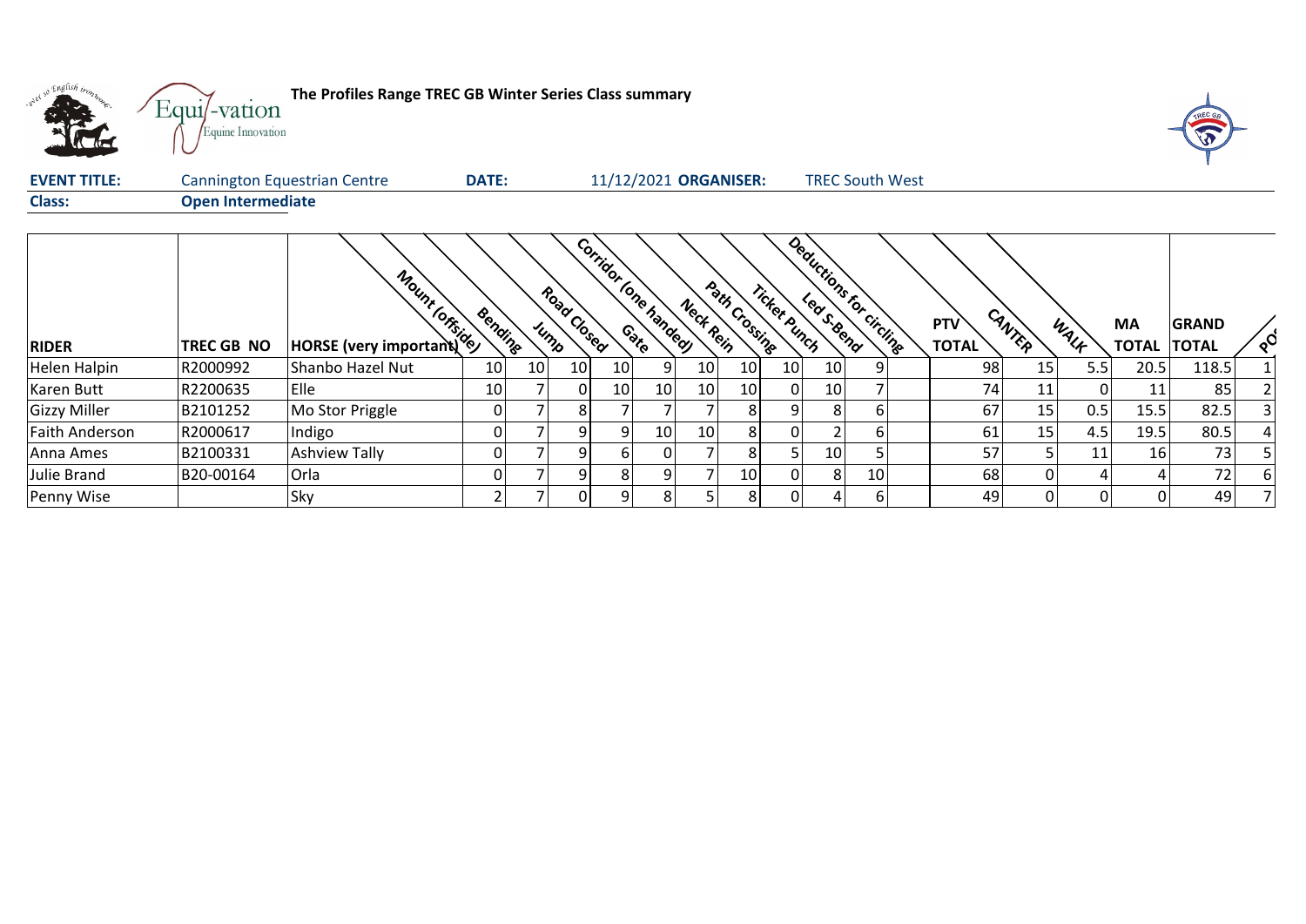| what so English trons | Equi/-vation<br>Equine Innovation | The Profiles Range TREC GB Winter Series Class summary |              |                     |    |                       |           |                       |              |                |                          |                     |        |      |                                 | TREC G       |                |
|-----------------------|-----------------------------------|--------------------------------------------------------|--------------|---------------------|----|-----------------------|-----------|-----------------------|--------------|----------------|--------------------------|---------------------|--------|------|---------------------------------|--------------|----------------|
| <b>EVENT TITLE:</b>   |                                   | <b>Cannington Equestrian Centre</b>                    | <b>DATE:</b> |                     |    |                       |           | 11/12/2021 ORGANISER: |              |                | <b>TREC South West</b>   |                     |        |      |                                 |              |                |
| <b>Class:</b>         | <b>Open Intermediate</b>          |                                                        |              |                     |    |                       |           |                       |              |                |                          |                     |        |      |                                 |              |                |
| <b>RIDER</b>          | <b>TREC GB NO</b>                 | Moint Ore &                                            | Bending      | Road Closed<br>Jump |    | Corridor Ione handeey | Neck Rein | Path Crossing         | Ticket punch |                | Deductions for circlines | PTV<br><b>TOTAL</b> | CANTER | WALK | <b>MA</b><br><b>TOTAL TOTAL</b> | <b>GRAND</b> | $\sqrt{\circ}$ |
| Helen Halpin          | R2000992                          | Shanbo Hazel Nut                                       | 10<br>10     | 10                  | 10 | 9                     | 10        | 10                    | 10           | 10             |                          | 98                  | 15     | 5.5  | 20.5                            | 118.5        |                |
| Karen Butt            | R2200635                          | Elle                                                   | 10           | 0                   | 10 | 10                    | 10        | 10                    | 0            | 10             |                          | 74                  | 11     | 0    | 11                              | 85           |                |
| <b>Gizzy Miller</b>   | B2101252                          | Mo Stor Priggle                                        | 0            | 8                   |    |                       |           | 8 <sup>1</sup>        | 9            | 8 <sup>1</sup> | 6                        | 67                  | 15     | 0.5  | 15.5                            | 82.5         |                |
| <b>Faith Anderson</b> | R2000617                          | Indigo                                                 | 0            | 9                   | 9  | 10                    | 10        | 8 <sup>1</sup>        | 0            |                | 6                        | 61                  | 15     | 4.5  | 19.5                            | 80.5         |                |
| Anna Ames             | B2100331                          | <b>Ashview Tally</b>                                   | 0            | 9 <sub>l</sub>      | 6  | 01                    |           | 8 <sup>1</sup>        | 5            | 10             |                          | 57                  |        | 11   | 16                              | 73           |                |
| Julie Brand           | IB20-00164                        | Orla                                                   | 0            | 9                   | 8  | 9                     |           | 10                    | 0            | 8              | 10                       | 68                  |        | 4    |                                 | 72           | ы              |
| Penny Wise            |                                   | Sky                                                    |              | 0                   | 9  | 8                     |           | 8 <sup>1</sup>        | 0            |                | 6                        | 49                  |        | 0    | 01                              | 49           |                |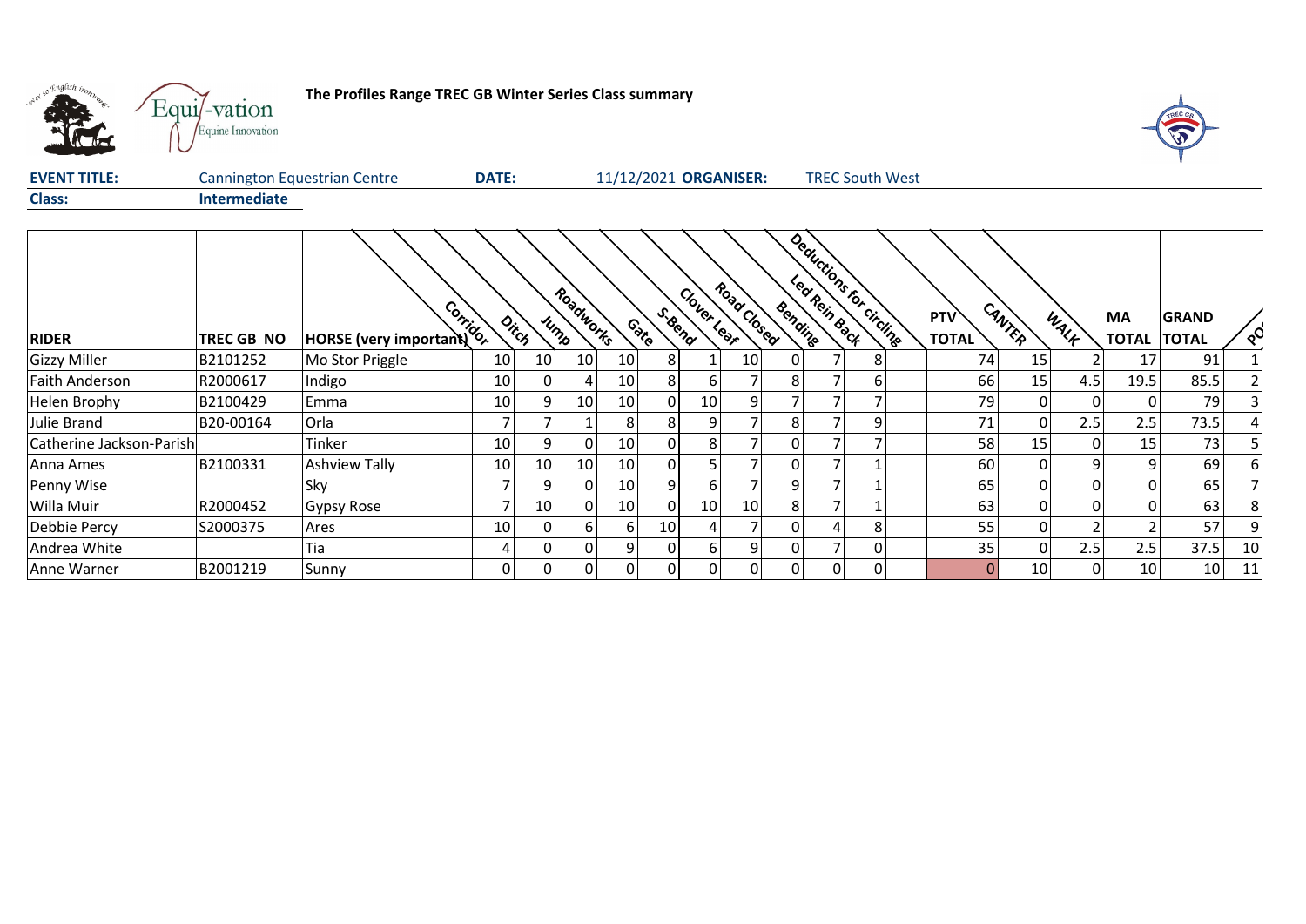

г

## **The Profiles Range TREC GB Winter Series Class summary**



| <b>EVENT TITLE:</b> | Cannington Equestrian Centre | <b>DATE:</b> | 11/12/2021 ORGANISER: | <b>TREC South West</b> |
|---------------------|------------------------------|--------------|-----------------------|------------------------|
| <b>Class:</b>       | <b>Intermediate</b>          |              |                       |                        |
|                     |                              |              |                       |                        |

| <b>RIDER</b>             | TREC GB NO | HORSE (very important) |    | Ditch           | Roadworks<br>Jump |                 | S.Bend<br>Contro | Clover Lear | Road Closed | Bending        |                | Deductions for circling | PTV<br><b>TOTAL</b> | CANTER   | WALK           | <b>MA</b><br><b>TOTAL</b> | <b>GRAND</b><br><b>TOTAL</b> | $Q^{\mathbf{C}}$ |
|--------------------------|------------|------------------------|----|-----------------|-------------------|-----------------|------------------|-------------|-------------|----------------|----------------|-------------------------|---------------------|----------|----------------|---------------------------|------------------------------|------------------|
| <b>Gizzy Miller</b>      | B2101252   | Mo Stor Priggle        | 10 | 10 <sub>1</sub> | 10                | 10 <sub>1</sub> | 81               |             | 10          | 01             |                | 8                       | 74                  | 15       |                | 17 <sub>1</sub>           | 91                           |                  |
| <b>Faith Anderson</b>    | R2000617   | Indigo                 | 10 | 01              |                   | 10 <sup>1</sup> | 81               | 6           |             | 81             |                | 6                       | 66                  | 15       | 4.5            | 19.5                      | 85.5                         |                  |
| <b>Helen Brophy</b>      | B2100429   | Emma                   | 10 | q               | 10 <sub>1</sub>   | 10 <sub>1</sub> | $\Omega$         | 10          | 9           |                | ⇁              |                         | 79                  | 0        | $\overline{0}$ | 0                         | 79                           |                  |
| Julie Brand              | B20-00164  | Orla                   |    |                 |                   | 81              | 81               | 9.          |             | 8 <sup>1</sup> | ┑              | 9                       | 71                  | 0        | 2.5            | 2.5                       | 73.5                         |                  |
| Catherine Jackson-Parish |            | Tinker                 | 10 | 9               |                   | 10 <sup>1</sup> | $\Omega$         | 8           |             | 01             |                |                         | 58                  | 15       | $\overline{0}$ | 15                        | 73                           |                  |
| Anna Ames                | B2100331   | <b>Ashview Tally</b>   | 10 | 10              | 10                | 10 <sup>1</sup> | 01               |             |             | 01             |                |                         | 60                  | $\Omega$ | 9              | 9                         | 69                           |                  |
| Penny Wise               |            | Sky                    |    | 9               | 0                 | 10 <sup>1</sup> | 9 <sub>l</sub>   | 6           |             | $\overline{9}$ |                |                         | 65                  |          | $\overline{0}$ | $\Omega$                  | 65                           |                  |
| Willa Muir               | R2000452   | <b>Gypsy Rose</b>      |    | 10 <sub>1</sub> | $\Omega$          | 10 <sup>1</sup> | $\Omega$         | 10          | 10          | 8 <sup>1</sup> | 7              |                         | 63                  | 0        | 0 <sup>l</sup> | 0                         | 63                           | 8                |
| Debbie Percy             | S2000375   | Ares                   | 10 | ΩI              | n.                | 61              | 10 <sup>1</sup>  | 4           |             | 01             | 4              | 8                       | 55                  |          |                |                           | 57                           |                  |
| Andrea White             |            | Tia                    |    | 01              |                   | 91              | $\Omega$         | 6           | 9           | 01             | ⇁              | 0                       | 35                  | 0        | 2.5            | 2.5                       | 37.5                         | 10               |
| Anne Warner              | B2001219   | Sunny                  | 0  | 01              |                   | $\Omega$        | $\Omega$         | 0           | 0 I         | 0 <sup>l</sup> | $\overline{0}$ | 0                       |                     | 10       | $\overline{0}$ | 10 <sup>1</sup>           | 10 <sup>1</sup>              | 11               |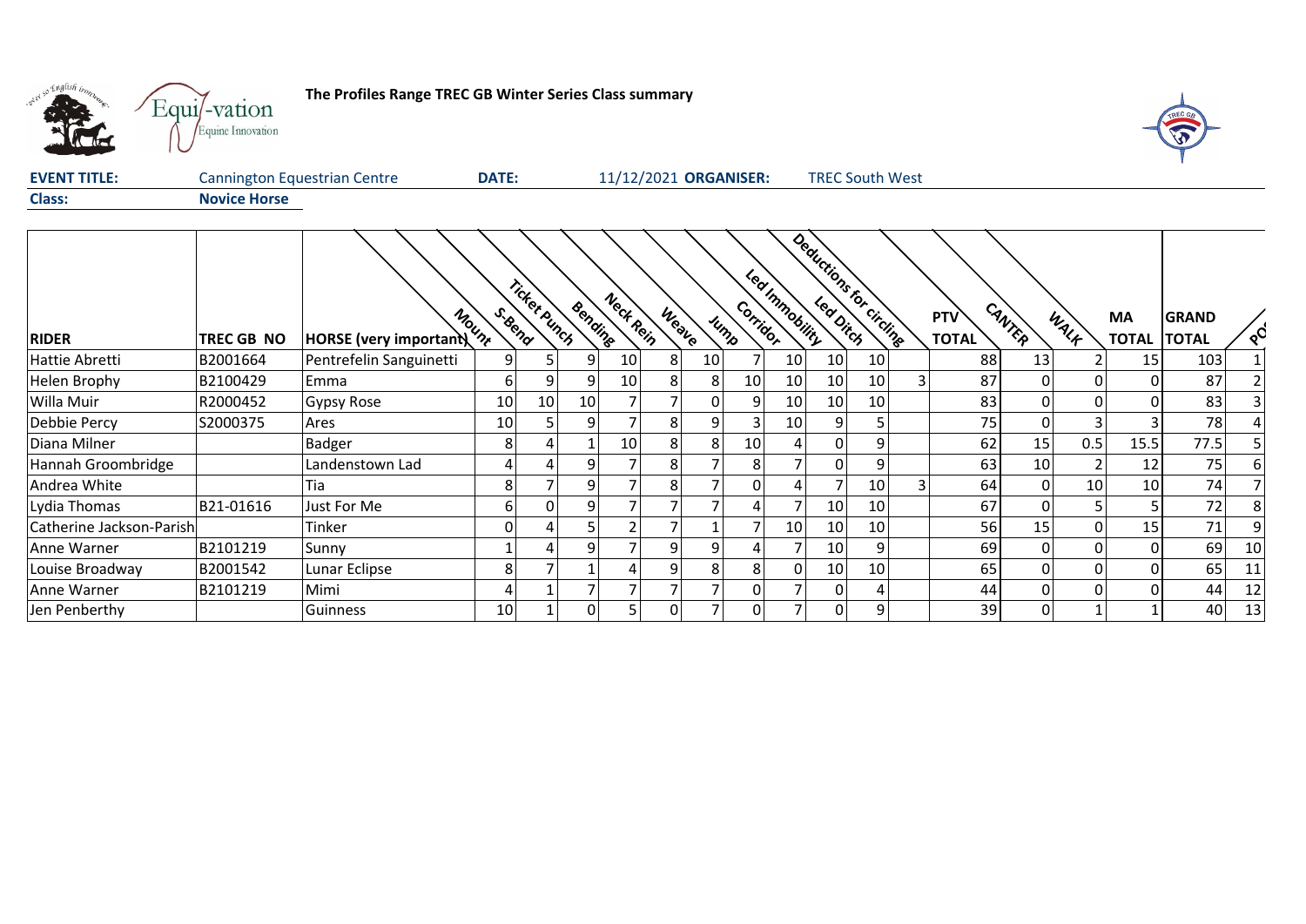

## **The Profiles Range TREC GB Winter Series Class summary**



| <b>EVENT TITLE:</b> | Cannington Equestrian Centre | <b>DATE:</b> | 11/12/2021 ORGANISER: | <b>TREC South West</b> |
|---------------------|------------------------------|--------------|-----------------------|------------------------|
| <b>Class:</b>       | <b>Novice Horse</b>          |              |                       |                        |

|                          |            |                         |                 | Ticket Punch | Bending | Neck Rein       |       |                 | Corrigor | Led Immobility  | Deductions for circling |                 |              | <b>PTV</b>   | CANTER |              | MA           | <b>GRAND</b> |                  |
|--------------------------|------------|-------------------------|-----------------|--------------|---------|-----------------|-------|-----------------|----------|-----------------|-------------------------|-----------------|--------------|--------------|--------|--------------|--------------|--------------|------------------|
| <b>RIDER</b>             | TREC GB NO | HORSE (very important)  | S. Bend         |              |         |                 | Weave | Jump            |          |                 |                         |                 |              | <b>TOTAL</b> |        | WALK         | <b>TOTAL</b> | <b>TOTAL</b> | $Q_{\mathbf{Q}}$ |
| Hattie Abretti           | B2001664   | Pentrefelin Sanguinetti | 9               |              |         | 10 <sup>1</sup> | 8     | 10 <sup>1</sup> |          | 10 <sup>1</sup> | 10                      | 10              |              | 88           | 13     |              | 15           | 103          |                  |
| Helen Brophy             | B2100429   | Emma                    | 6.              | 91           |         | 10              | 81    | 81              | 10       | 10              | 10                      | 10              | $\mathbf{3}$ | 87           |        | $\Omega$     | $\Omega$     | 87           |                  |
| Willa Muir               | R2000452   | Gypsy Rose              | 10 <sup>1</sup> | 10           | 10      |                 |       | 01              | 9        | 10              | 10                      | 10              |              | 83           |        | $\mathbf{0}$ | $\Omega$     | 83           |                  |
| Debbie Percy             | S2000375   | Ares                    | 10              |              |         |                 | 8     | 91              |          | 10              | 9                       | 5               |              | 75           |        |              |              | 78           |                  |
| Diana Milner             |            | Badger                  | 8               |              |         | 10              | 81    | 81              | 10       | 4               | $\Omega$                | 9               |              | 62           | 15     | 0.5          | 15.5         | 77.5         |                  |
| Hannah Groombridge       |            | Landenstown Lad         |                 |              |         |                 | 81    |                 | 8        |                 | ΟI                      | 9               |              | 63           | 10     |              | 12           | 75           |                  |
| Andrea White             |            | Tia                     | 8               |              |         |                 | 8     |                 | 0        | 4               |                         | 10 <sub>1</sub> |              | 64           |        | 10           | 10           | 74           |                  |
| Lydia Thomas             | B21-01616  | Just For Me             | h               | $\Omega$     |         |                 |       |                 |          |                 | 10 <sup>1</sup>         | 10              |              | 67           |        |              |              | 72           |                  |
| Catherine Jackson-Parish |            | Tinker                  |                 |              |         |                 |       |                 |          | 10              | 10                      | 10              |              | 56           | 15     | $\Omega$     | 15           | 71           |                  |
| Anne Warner              | B2101219   | Sunny                   |                 |              |         |                 | ٩I    | $\overline{9}$  |          |                 | 10                      | 9               |              | 69           |        | $\Omega$     | 0            | 69           | 10               |
| Louise Broadway          | B2001542   | Lunar Eclipse           | 8               |              |         |                 |       | 81              | 81       | 0               | 10                      | 10              |              | 65           |        | $\Omega$     | $\Omega$     | 65           | 11               |
| Anne Warner              | B2101219   | Mimi                    |                 |              |         |                 |       |                 | 01       |                 | 0 I                     |                 |              | 44           |        | $\Omega$     | $\Omega$     | 44           | 12               |
| Jen Penberthy            |            | Guinness                | 10 <sub>l</sub> |              |         |                 | 01    |                 | $\Omega$ |                 | $\Omega$                | 9               |              | 39           |        |              |              | 40           | 13               |